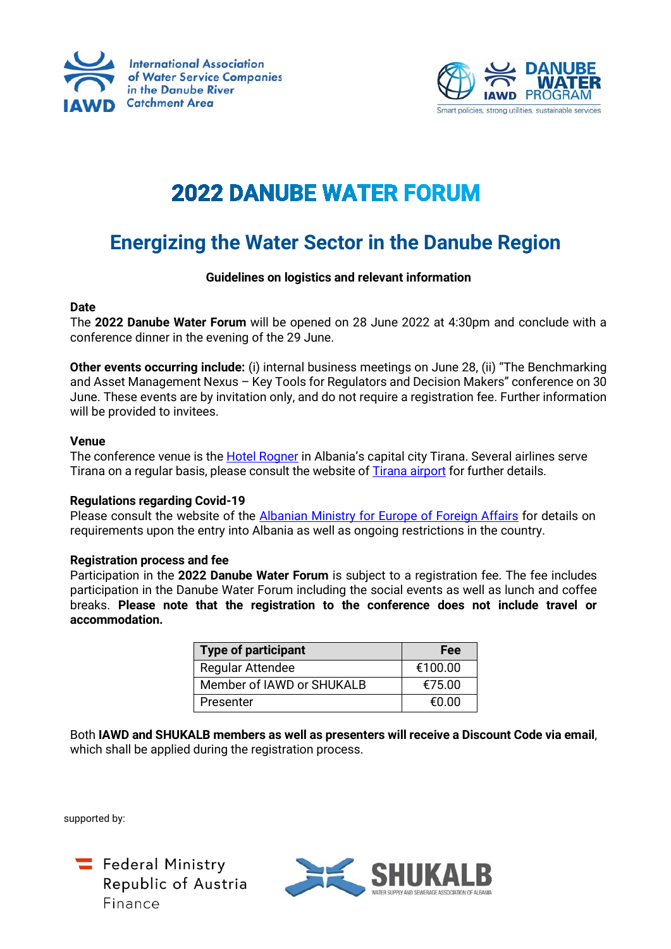



# **2022 DANUBE WATER FORUM**

# **Energizing the Water Sector in the Danube Region**

# **Guidelines on logistics and relevant information**

# **Date**

The **2022 Danube Water Forum** will be opened on 28 June 2022 at 4:30pm and conclude with a conference dinner in the evening of the 29 June.

**Other events occurring include:** (i) internal business meetings on June 28, (ii) "The Benchmarking and Asset Management Nexus – Key Tools for Regulators and Decision Makers" conference on 30 June. These events are by invitation only, and do not require a registration fee. Further information will be provided to invitees.

# **Venue**

The conference venue is the **[Hotel Rogner](https://www.hotel-europapark.com/)** in Albania's capital city Tirana. Several airlines serve Tirana on a regular basis, please consult the website o[f Tirana airport](https://www.tirana-airport.com/?msclkid=71924e55b10211ec9b50c42347e67a0e) for further details.

# **Regulations regarding Covid-19**

Please consult the website of the [Albanian Ministry for Europe of Foreign Affairs](https://punetejashtme.gov.al/en/informacion-mbi-levizjen-e-shtetasve-te-huaj-ne-shqiperi/) for details on requirements upon the entry into Albania as well as ongoing restrictions in the country.

#### **Registration process and fee**

Participation in the **2022 Danube Water Forum** is subject to a registration fee. The fee includes participation in the Danube Water Forum including the social events as well as lunch and coffee breaks. **Please note that the registration to the conference does not include travel or accommodation.**

| <b>Type of participant</b> | Fee     |
|----------------------------|---------|
| <b>Regular Attendee</b>    | €100.00 |
| Member of IAWD or SHUKALB  | €75.00  |
| Presenter                  | f(0.00) |

Both **IAWD and SHUKALB members as well as presenters will receive a Discount Code via email**, which shall be applied during the registration process.

supported by:



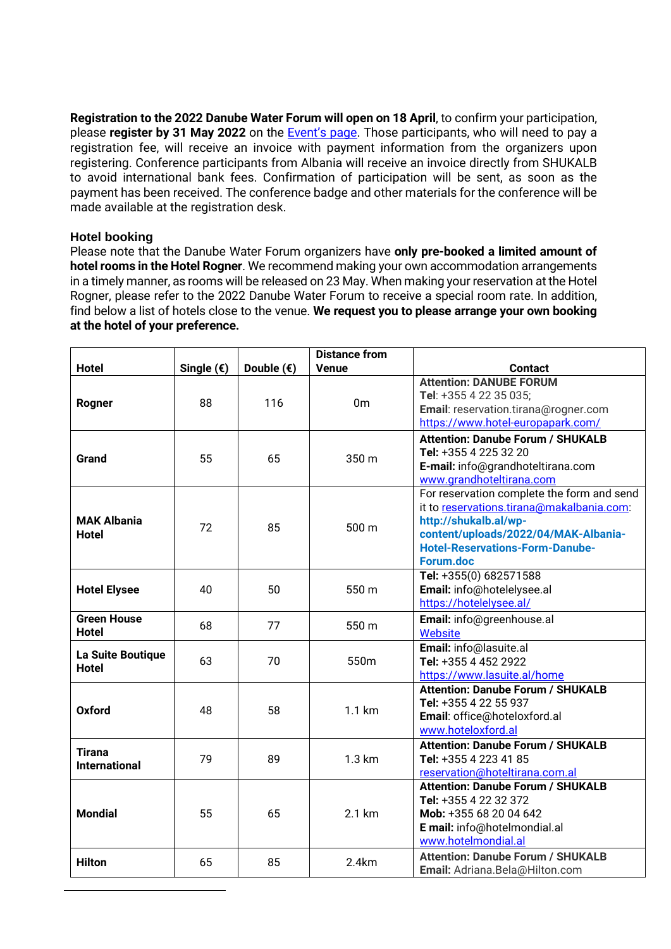**Registration to the 2022 Danube Water Forum will open on 18 April**, to confirm your participation, please **register by 31 May 2022** on the [Event's page.](https://www.iawd.at/eng/event/711/details/1/0/0/) Those participants, who will need to pay a registration fee, will receive an invoice with payment information from the organizers upon registering. Conference participants from Albania will receive an invoice directly from SHUKALB to avoid international bank fees. Confirmation of participation will be sent, as soon as the payment has been received. The conference badge and other materials for the conference will be made available at the registration desk.

# **Hotel booking**

Please note that the Danube Water Forum organizers have **only pre-booked a limited amount of hotel rooms in the Hotel Rogner**. We recommend making your own accommodation arrangements in a timely manner, as rooms will be released on 23 May. When making your reservation at the Hotel Rogner, please refer to the 2022 Danube Water Forum to receive a special room rate. In addition, find below a list of hotels close to the venue. **We request you to please arrange your own booking at the hotel of your preference.**

|                                       |                     |                     | <b>Distance from</b> |                                                                                                                                                                                                                 |
|---------------------------------------|---------------------|---------------------|----------------------|-----------------------------------------------------------------------------------------------------------------------------------------------------------------------------------------------------------------|
| <b>Hotel</b>                          | Single $(\epsilon)$ | Double $(\epsilon)$ | <b>Venue</b>         | <b>Contact</b>                                                                                                                                                                                                  |
| Rogner                                | 88                  | 116                 | 0 <sub>m</sub>       | <b>Attention: DANUBE FORUM</b><br>Tel: +355 4 22 35 035;<br>Email: reservation.tirana@rogner.com<br>https://www.hotel-europapark.com/                                                                           |
| Grand                                 | 55                  | 65                  | 350 m                | <b>Attention: Danube Forum / SHUKALB</b><br>Tel: +355 4 225 32 20<br>E-mail: info@grandhoteltirana.com<br>www.grandhoteltirana.com                                                                              |
| <b>MAK Albania</b><br><b>Hotel</b>    | 72                  | 85                  | 500 m                | For reservation complete the form and send<br>it to reservations.tirana@makalbania.com:<br>http://shukalb.al/wp-<br>content/uploads/2022/04/MAK-Albania-<br><b>Hotel-Reservations-Form-Danube-</b><br>Forum.doc |
| <b>Hotel Elysee</b>                   | 40                  | 50                  | 550 m                | Tel: +355(0) 682571588<br>Email: info@hotelelysee.al<br>https://hotelelysee.al/                                                                                                                                 |
| <b>Green House</b><br><b>Hotel</b>    | 68                  | 77                  | 550 m                | Email: info@greenhouse.al<br>Website                                                                                                                                                                            |
| La Suite Boutique<br><b>Hotel</b>     | 63                  | 70                  | 550m                 | Email: info@lasuite.al<br>Tel: +355 4 452 2922<br>https://www.lasuite.al/home                                                                                                                                   |
| Oxford                                | 48                  | 58                  | 1.1 km               | <b>Attention: Danube Forum / SHUKALB</b><br>Tel: +355 4 22 55 937<br>Email: office@hoteloxford.al<br>www.hoteloxford.al                                                                                         |
| <b>Tirana</b><br><b>International</b> | 79                  | 89                  | 1.3 km               | <b>Attention: Danube Forum / SHUKALB</b><br>Tel: +355 4 223 41 85<br>reservation@hoteltirana.com.al                                                                                                             |
| <b>Mondial</b>                        | 55                  | 65                  | 2.1 km               | <b>Attention: Danube Forum / SHUKALB</b><br>Tel: +355 4 22 32 372<br>Mob: +355 68 20 04 642<br>E mail: info@hotelmondial.al<br>www.hotelmondial.al                                                              |
| <b>Hilton</b>                         | 65                  | 85                  | 2.4km                | <b>Attention: Danube Forum / SHUKALB</b><br>Email: Adriana.Bela@Hilton.com                                                                                                                                      |